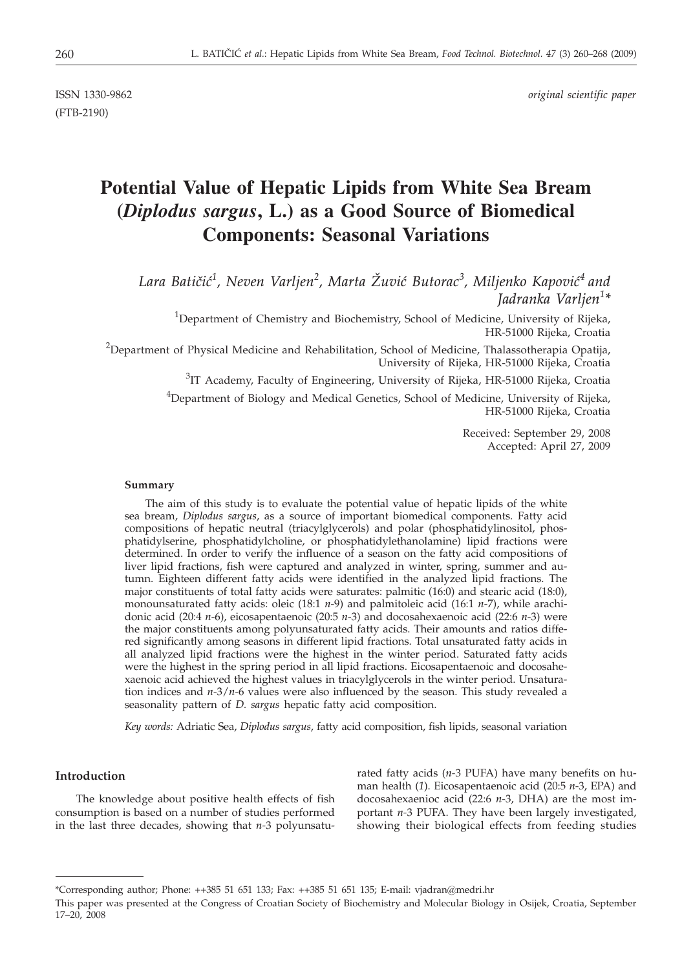(FTB-2190)

ISSN 1330-9862 *original scientific paper*

# **Potential Value of Hepatic Lipids from White Sea Bream (***Diplodus sargus***, L.) as a Good Source of Biomedical Components: Seasonal Variations**

Lara Batičić<sup>1</sup>, Neven Varljen<sup>2</sup>, Marta Žuvić Butorac<sup>3</sup>, Miljenko Kapović<sup>4</sup> and *Jadranka Varljen<sup>1</sup> \**

<sup>1</sup>Department of Chemistry and Biochemistry, School of Medicine, University of Rijeka, HR-51000 Rijeka, Croatia

 $^{2}$ Department of Physical Medicine and Rehabilitation, School of Medicine, Thalassotherapia Opatija, University of Rijeka, HR-51000 Rijeka, Croatia

<sup>3</sup>IT Academy, Faculty of Engineering, University of Rijeka, HR-51000 Rijeka, Croatia

<sup>4</sup>Department of Biology and Medical Genetics, School of Medicine, University of Rijeka, HR-51000 Rijeka, Croatia

> Received: September 29, 2008 Accepted: April 27, 2009

#### **Summary**

The aim of this study is to evaluate the potential value of hepatic lipids of the white sea bream, *Diplodus sargus*, as a source of important biomedical components. Fatty acid compositions of hepatic neutral (triacylglycerols) and polar (phosphatidylinositol, phosphatidylserine, phosphatidylcholine, or phosphatidylethanolamine) lipid fractions were determined. In order to verify the influence of a season on the fatty acid compositions of liver lipid fractions, fish were captured and analyzed in winter, spring, summer and autumn. Eighteen different fatty acids were identified in the analyzed lipid fractions. The major constituents of total fatty acids were saturates: palmitic (16:0) and stearic acid (18:0), monounsaturated fatty acids: oleic (18:1 *n-*9) and palmitoleic acid (16:1 *n-*7), while arachidonic acid (20:4 *n-*6), eicosapentaenoic (20:5 *n-*3) and docosahexaenoic acid (22:6 *n-*3) were the major constituents among polyunsaturated fatty acids. Their amounts and ratios differed significantly among seasons in different lipid fractions. Total unsaturated fatty acids in all analyzed lipid fractions were the highest in the winter period. Saturated fatty acids were the highest in the spring period in all lipid fractions. Eicosapentaenoic and docosahexaenoic acid achieved the highest values in triacylglycerols in the winter period. Unsaturation indices and *n-*3/*n-*6 values were also influenced by the season. This study revealed a seasonality pattern of *D. sargus* hepatic fatty acid composition.

*Key words:* Adriatic Sea, *Diplodus sargus*, fatty acid composition, fish lipids, seasonal variation

# **Introduction**

The knowledge about positive health effects of fish consumption is based on a number of studies performed in the last three decades, showing that *n-*3 polyunsaturated fatty acids (*n-*3 PUFA) have many benefits on human health (*1*). Eicosapentaenoic acid (20:5 *n-*3, EPA) and docosahexaenioc acid (22:6 *n-*3, DHA) are the most important *n-*3 PUFA. They have been largely investigated, showing their biological effects from feeding studies

<sup>\*</sup>Corresponding author; Phone: ++385 51 651 133; Fax: ++385 51 651 135; E-mail: vjadran@medri.hr

This paper was presented at the Congress of Croatian Society of Biochemistry and Molecular Biology in Osijek, Croatia, September 17–20, 2008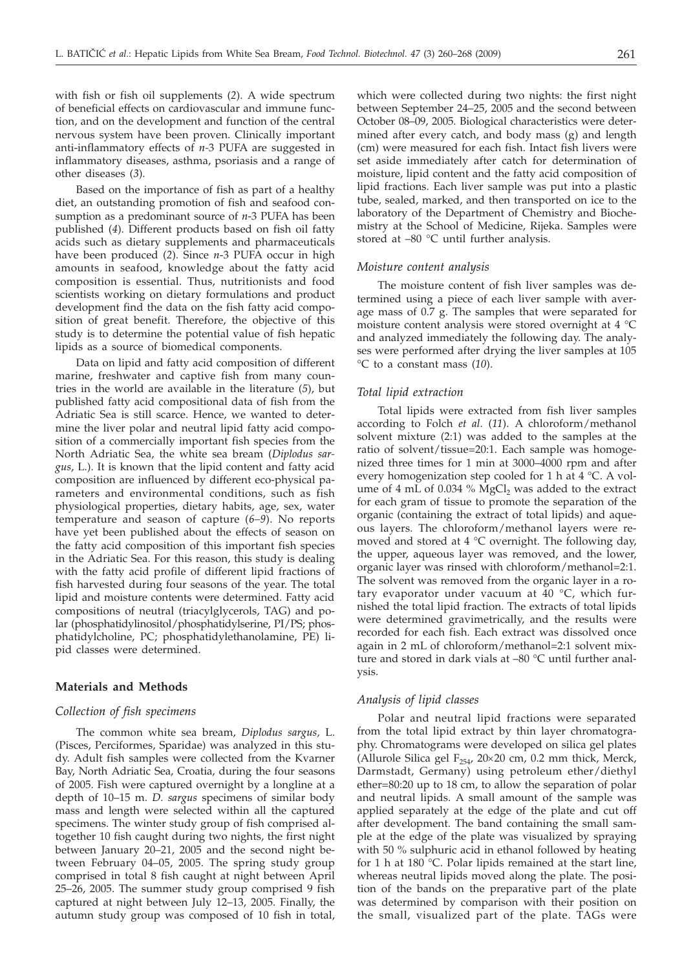with fish or fish oil supplements (*2*). A wide spectrum of beneficial effects on cardiovascular and immune function, and on the development and function of the central nervous system have been proven. Clinically important anti-inflammatory effects of *n-*3 PUFA are suggested in inflammatory diseases, asthma, psoriasis and a range of other diseases (*3*).

Based on the importance of fish as part of a healthy diet, an outstanding promotion of fish and seafood consumption as a predominant source of *n*-3 PUFA has been published (*4*). Different products based on fish oil fatty acids such as dietary supplements and pharmaceuticals have been produced (*2*). Since *n*-3 PUFA occur in high amounts in seafood, knowledge about the fatty acid composition is essential. Thus, nutritionists and food scientists working on dietary formulations and product development find the data on the fish fatty acid composition of great benefit. Therefore, the objective of this study is to determine the potential value of fish hepatic lipids as a source of biomedical components.

Data on lipid and fatty acid composition of different marine, freshwater and captive fish from many countries in the world are available in the literature (*5*), but published fatty acid compositional data of fish from the Adriatic Sea is still scarce. Hence, we wanted to determine the liver polar and neutral lipid fatty acid composition of a commercially important fish species from the North Adriatic Sea, the white sea bream (*Diplodus sargus*, L.). It is known that the lipid content and fatty acid composition are influenced by different eco-physical parameters and environmental conditions, such as fish physiological properties, dietary habits, age, sex, water temperature and season of capture (*6–9*). No reports have yet been published about the effects of season on the fatty acid composition of this important fish species in the Adriatic Sea. For this reason, this study is dealing with the fatty acid profile of different lipid fractions of fish harvested during four seasons of the year. The total lipid and moisture contents were determined. Fatty acid compositions of neutral (triacylglycerols, TAG) and polar (phosphatidylinositol/phosphatidylserine, PI/PS; phosphatidylcholine, PC; phosphatidylethanolamine, PE) lipid classes were determined.

### **Materials and Methods**

## *Collection of fish specimens*

The common white sea bream, *Diplodus sargus,* L. (Pisces, Perciformes, Sparidae) was analyzed in this study. Adult fish samples were collected from the Kvarner Bay, North Adriatic Sea, Croatia, during the four seasons of 2005. Fish were captured overnight by a longline at a depth of 10–15 m. *D. sargus* specimens of similar body mass and length were selected within all the captured specimens. The winter study group of fish comprised altogether 10 fish caught during two nights, the first night between January 20–21, 2005 and the second night between February 04–05, 2005. The spring study group comprised in total 8 fish caught at night between April 25–26, 2005. The summer study group comprised 9 fish captured at night between July 12–13, 2005. Finally, the autumn study group was composed of 10 fish in total,

which were collected during two nights: the first night between September 24–25, 2005 and the second between October 08–09, 2005. Biological characteristics were determined after every catch, and body mass (g) and length (cm) were measured for each fish. Intact fish livers were set aside immediately after catch for determination of moisture, lipid content and the fatty acid composition of lipid fractions. Each liver sample was put into a plastic tube, sealed, marked, and then transported on ice to the laboratory of the Department of Chemistry and Biochemistry at the School of Medicine, Rijeka. Samples were stored at –80 °C until further analysis.

#### *Moisture content analysis*

The moisture content of fish liver samples was determined using a piece of each liver sample with average mass of 0.7 g. The samples that were separated for moisture content analysis were stored overnight at 4 °C and analyzed immediately the following day. The analyses were performed after drying the liver samples at 105 °C to a constant mass (*10*).

#### *Total lipid extraction*

Total lipids were extracted from fish liver samples according to Folch *et al.* (*11*). A chloroform/methanol solvent mixture (2:1) was added to the samples at the ratio of solvent/tissue=20:1. Each sample was homogenized three times for 1 min at 3000–4000 rpm and after every homogenization step cooled for 1 h at 4 °C. A volume of  $4 \text{ mL of } 0.034$  % MgCl<sub>2</sub> was added to the extract for each gram of tissue to promote the separation of the organic (containing the extract of total lipids) and aqueous layers. The chloroform/methanol layers were removed and stored at 4 °C overnight. The following day, the upper, aqueous layer was removed, and the lower, organic layer was rinsed with chloroform/methanol=2:1. The solvent was removed from the organic layer in a rotary evaporator under vacuum at 40 °C, which furnished the total lipid fraction. The extracts of total lipids were determined gravimetrically, and the results were recorded for each fish. Each extract was dissolved once again in 2 mL of chloroform/methanol=2:1 solvent mixture and stored in dark vials at –80 °C until further analysis.

#### *Analysis of lipid classes*

Polar and neutral lipid fractions were separated from the total lipid extract by thin layer chromatography. Chromatograms were developed on silica gel plates (Allurole Silica gel  $F_{254}$ , 20×20 cm, 0.2 mm thick, Merck, Darmstadt, Germany) using petroleum ether/diethyl ether=80:20 up to 18 cm, to allow the separation of polar and neutral lipids. A small amount of the sample was applied separately at the edge of the plate and cut off after development. The band containing the small sample at the edge of the plate was visualized by spraying with 50 % sulphuric acid in ethanol followed by heating for 1 h at 180 °C. Polar lipids remained at the start line, whereas neutral lipids moved along the plate. The position of the bands on the preparative part of the plate was determined by comparison with their position on the small, visualized part of the plate. TAGs were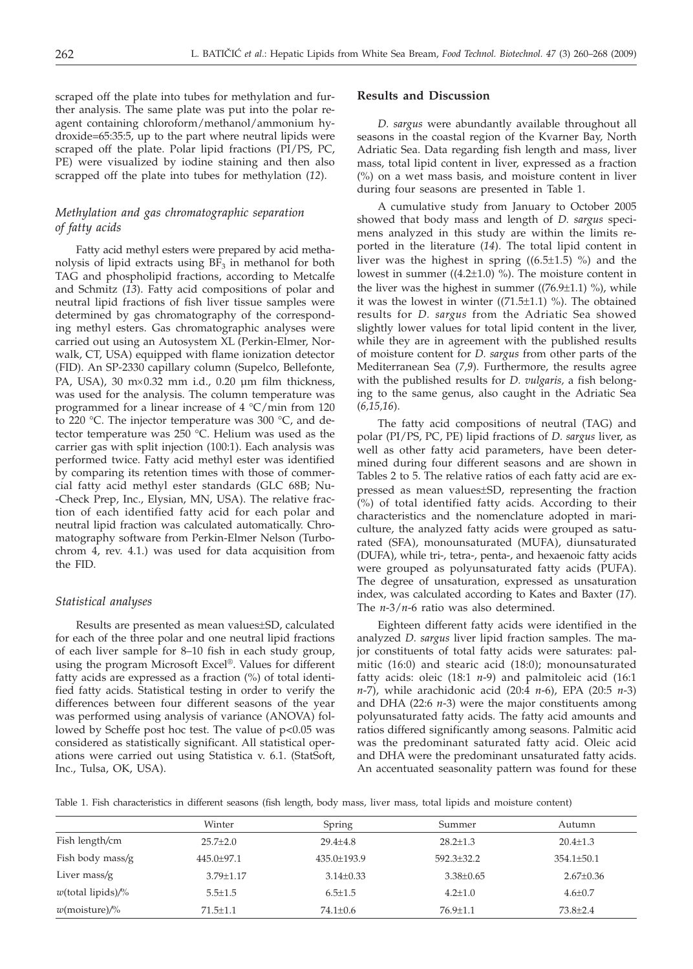scraped off the plate into tubes for methylation and further analysis. The same plate was put into the polar reagent containing chloroform/methanol/ammonium hydroxide=65:35:5, up to the part where neutral lipids were scraped off the plate. Polar lipid fractions (PI/PS, PC, PE) were visualized by iodine staining and then also scrapped off the plate into tubes for methylation (*12*).

# *Methylation and gas chromatographic separation of fatty acids*

Fatty acid methyl esters were prepared by acid methanolysis of lipid extracts using  $BF_3$  in methanol for both TAG and phospholipid fractions, according to Metcalfe and Schmitz (*13*). Fatty acid compositions of polar and neutral lipid fractions of fish liver tissue samples were determined by gas chromatography of the corresponding methyl esters. Gas chromatographic analyses were carried out using an Autosystem XL (Perkin-Elmer, Norwalk, CT, USA) equipped with flame ionization detector (FID). An SP-2330 capillary column (Supelco, Bellefonte, PA, USA), 30  $m \times 0.32$  mm i.d., 0.20  $\mu$ m film thickness, was used for the analysis. The column temperature was programmed for a linear increase of 4 °C/min from 120 to 220 °C. The injector temperature was 300 °C, and detector temperature was 250 °C. Helium was used as the carrier gas with split injection (100:1). Each analysis was performed twice. Fatty acid methyl ester was identified by comparing its retention times with those of commercial fatty acid methyl ester standards (GLC 68B; Nu- -Check Prep, Inc., Elysian, MN, USA). The relative fraction of each identified fatty acid for each polar and neutral lipid fraction was calculated automatically. Chromatography software from Perkin-Elmer Nelson (Turbochrom 4, rev. 4.1.) was used for data acquisition from the FID.

#### *Statistical analyses*

Results are presented as mean values±SD, calculated for each of the three polar and one neutral lipid fractions of each liver sample for 8–10 fish in each study group, using the program Microsoft Excel®. Values for different fatty acids are expressed as a fraction (%) of total identified fatty acids. Statistical testing in order to verify the differences between four different seasons of the year was performed using analysis of variance (ANOVA) followed by Scheffe post hoc test. The value of p*<*0.05 was considered as statistically significant. All statistical operations were carried out using Statistica v. 6.1. (StatSoft, Inc., Tulsa, OK, USA).

#### **Results and Discussion**

*D. sargus* were abundantly available throughout all seasons in the coastal region of the Kvarner Bay, North Adriatic Sea. Data regarding fish length and mass, liver mass, total lipid content in liver, expressed as a fraction (%) on a wet mass basis, and moisture content in liver during four seasons are presented in Table 1.

A cumulative study from January to October 2005 showed that body mass and length of *D. sargus* specimens analyzed in this study are within the limits reported in the literature (*14*). The total lipid content in liver was the highest in spring  $((6.5\pm1.5)$  %) and the lowest in summer  $((4.2\pm1.0)$  %). The moisture content in the liver was the highest in summer ( $(76.9\pm1.1)$  %), while it was the lowest in winter  $((71.5\pm1.1)$  %). The obtained results for *D. sargus* from the Adriatic Sea showed slightly lower values for total lipid content in the liver, while they are in agreement with the published results of moisture content for *D. sargus* from other parts of the Mediterranean Sea (*7,9*). Furthermore, the results agree with the published results for *D. vulgaris,* a fish belonging to the same genus, also caught in the Adriatic Sea (*6,15,16*).

The fatty acid compositions of neutral (TAG) and polar (PI/PS, PC, PE) lipid fractions of *D. sargus* liver, as well as other fatty acid parameters, have been determined during four different seasons and are shown in Tables 2 to 5. The relative ratios of each fatty acid are expressed as mean values±SD, representing the fraction (%) of total identified fatty acids. According to their characteristics and the nomenclature adopted in mariculture, the analyzed fatty acids were grouped as saturated (SFA), monounsaturated (MUFA), diunsaturated (DUFA), while tri-, tetra-, penta-, and hexaenoic fatty acids were grouped as polyunsaturated fatty acids (PUFA). The degree of unsaturation, expressed as unsaturation index, was calculated according to Kates and Baxter (*17*). The *n*-3/*n*-6 ratio was also determined.

Eighteen different fatty acids were identified in the analyzed *D. sargus* liver lipid fraction samples. The major constituents of total fatty acids were saturates: palmitic (16:0) and stearic acid (18:0); monounsaturated fatty acids: oleic (18:1 *n*-9) and palmitoleic acid (16:1 *n*-7), while arachidonic acid (20:4 *n*-6), EPA (20:5 *n*-3) and DHA (22:6 *n*-3) were the major constituents among polyunsaturated fatty acids. The fatty acid amounts and ratios differed significantly among seasons. Palmitic acid was the predominant saturated fatty acid. Oleic acid and DHA were the predominant unsaturated fatty acids. An accentuated seasonality pattern was found for these

Table 1. Fish characteristics in different seasons (fish length, body mass, liver mass, total lipids and moisture content)

|                      | Winter          | Spring            | Summer          | Autumn           |
|----------------------|-----------------|-------------------|-----------------|------------------|
| Fish length/cm       | $25.7+2.0$      | $29.4 \pm 4.8$    | $28.2 \pm 1.3$  | $20.4 \pm 1.3$   |
| Fish body mass/g     | $445.0 + 97.1$  | $435.0 \pm 193.9$ | $592.3 + 32.2$  | $354.1 \pm 50.1$ |
| Liver mass/g         | $3.79 \pm 1.17$ | $3.14\pm0.33$     | $3.38 \pm 0.65$ | $2.67 \pm 0.36$  |
| $w$ (total lipids)/% | $5.5 \pm 1.5$   | $6.5 \pm 1.5$     | $4.2 \pm 1.0$   | $4.6 \pm 0.7$    |
| $w$ (moisture)/%     | $71.5 \pm 1.1$  | 74.1±0.6          | $76.9 \pm 1.1$  | $73.8 \pm 2.4$   |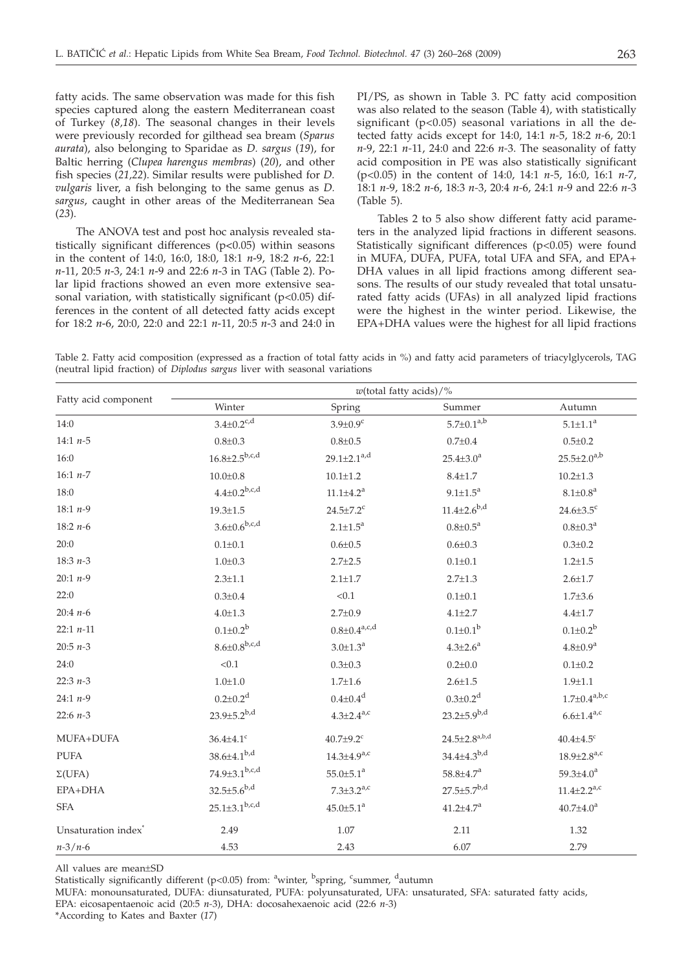fatty acids. The same observation was made for this fish species captured along the eastern Mediterranean coast of Turkey (*8,18*). The seasonal changes in their levels were previously recorded for gilthead sea bream (*Sparus aurata*), also belonging to Sparidae as *D. sargus* (*19*), for Baltic herring (*Clupea harengus membras*) (*20*), and other fish species (*21,22*). Similar results were published for *D. vulgaris* liver, a fish belonging to the same genus as *D. sargus*, caught in other areas of the Mediterranean Sea (*23*).

The ANOVA test and post hoc analysis revealed statistically significant differences (p*<*0.05) within seasons in the content of 14:0, 16:0, 18:0, 18:1 *n*-9, 18:2 *n*-6, 22:1 *n*-11, 20:5 *n*-3, 24:1 *n*-9 and 22:6 *n*-3 in TAG (Table 2). Polar lipid fractions showed an even more extensive seasonal variation, with statistically significant (p<0.05) differences in the content of all detected fatty acids except for 18:2 *n*-6, 20:0, 22:0 and 22:1 *n*-11, 20:5 *n*-3 and 24:0 in

PI/PS, as shown in Table 3. PC fatty acid composition was also related to the season (Table 4), with statistically significant ( $p<0.05$ ) seasonal variations in all the detected fatty acids except for 14:0, 14:1 *n-*5, 18:2 *n-*6, 20:1 *n-*9, 22:1 *n-*11, 24:0 and 22:6 *n-*3. The seasonality of fatty acid composition in PE was also statistically significant (p<0.05) in the content of 14:0, 14:1 *n-*5, 16:0, 16:1 *n-*7, 18:1 *n-*9, 18:2 *n-*6, 18:3 *n-*3, 20:4 *n-*6, 24:1 *n-*9 and 22:6 *n-*3 (Table 5).

Tables 2 to 5 also show different fatty acid parameters in the analyzed lipid fractions in different seasons. Statistically significant differences (p<0.05) were found in MUFA, DUFA, PUFA, total UFA and SFA, and EPA+ DHA values in all lipid fractions among different seasons. The results of our study revealed that total unsaturated fatty acids (UFAs) in all analyzed lipid fractions were the highest in the winter period. Likewise, the EPA+DHA values were the highest for all lipid fractions

Table 2. Fatty acid composition (expressed as a fraction of total fatty acids in %) and fatty acid parameters of triacylglycerols, TAG (neutral lipid fraction) of *Diplodus sargus* liver with seasonal variations

| Fatty acid component            | $w$ (total fatty acids)/%  |                                |                          |                               |
|---------------------------------|----------------------------|--------------------------------|--------------------------|-------------------------------|
|                                 | Winter                     | Spring                         | Summer                   | Autumn                        |
| 14:0                            | $3.4 \pm 0.2^{c,d}$        | $3.9 \pm 0.9$ <sup>c</sup>     | $5.7 \pm 0.1^{a,b}$      | $5.1 \pm 1.1^a$               |
| 14:1 $n-5$                      | $0.8 + 0.3$                | $0.8 + 0.5$                    | $0.7 \pm 0.4$            | $0.5 \pm 0.2$                 |
| 16:0                            | $16.8{\pm}2.5^{b,c,d}$     | $29.1 \pm 2.1^{a,d}$           | $25.4 \pm 3.0^a$         | $25.5 \pm 2.0^{a,b}$          |
| 16:1 $n-7$                      | $10.0 \pm 0.8$             | $10.1 \pm 1.2$                 | $8.4 \pm 1.7$            | $10.2 \pm 1.3$                |
| 18:0                            | $4.4{\pm}0.2^{b,c,d}$      | $11.1 \pm 4.2^a$               | $9.1 \pm 1.5^a$          | $8.1 \pm 0.8^{\text{a}}$      |
| 18:1 $n-9$                      | $19.3 \pm 1.5$             | $24.5 \pm 7.2$ <sup>c</sup>    | $11.4 \pm 2.6^{b,d}$     | $24.6 \pm 3.5$ <sup>c</sup>   |
| 18:2 $n-6$                      | $3.6 \pm 0.6^{b,c,d}$      | $2.1 \pm 1.5^a$                | $0.8 \pm 0.5^{\text{a}}$ | $0.8 \pm 0.3^{\text{a}}$      |
| 20:0                            | $0.1 + 0.1$                | $0.6 \pm 0.5$                  | $0.6 \pm 0.3$            | $0.3 \pm 0.2$                 |
| 18:3 $n-3$                      | $1.0 \pm 0.3$              | $2.7 \pm 2.5$                  | $0.1 \pm 0.1$            | $1.2 + 1.5$                   |
| 20:1 $n-9$                      | $2.3 \pm 1.1$              | $2.1 \pm 1.7$                  | $2.7 \pm 1.3$            | $2.6 \pm 1.7$                 |
| 22:0                            | $0.3 \pm 0.4$              | < 0.1                          | $0.1 \pm 0.1$            | $1.7 \pm 3.6$                 |
| 20:4 $n-6$                      | $4.0 \pm 1.3$              | $2.7 \pm 0.9$                  | $4.1 \pm 2.7$            | $4.4 + 1.7$                   |
| $22:1 n-11$                     | $0.1 \pm 0.2^b$            | $0.8 \pm 0.4$ <sup>a,c,d</sup> | $0.1 \pm 0.1^b$          | $0.1 \pm 0.2^b$               |
| $20:5 n-3$                      | $8.6 \pm 0.8^{b,c,d}$      | $3.0 \pm 1.3^a$                | $4.3{\pm}2.6^{a}$        | $4.8 \pm 0.9^a$               |
| 24:0                            | < 0.1                      | $0.3 \pm 0.3$                  | $0.2 \pm 0.0$            | $0.1 \pm 0.2$                 |
| 22:3 $n-3$                      | $1.0 + 1.0$                | $1.7 \pm 1.6$                  | $2.6 \pm 1.5$            | $1.9 + 1.1$                   |
| 24:1 $n-9$                      | $0.2 \pm 0.2$ <sup>d</sup> | $0.4 \pm 0.4$ <sup>d</sup>     | $0.3 \pm 0.2^d$          | $1.7 \pm 0.4^{a,b,c}$         |
| 22:6 $n-3$                      | $23.9 \pm 5.2^{b,d}$       | $4.3{\pm}2.4^{a,c}$            | $23.2 \pm 5.9^{b,d}$     | $6.6 \pm 1.4^{a,c}$           |
| MUFA+DUFA                       | $36.4{\pm}4.1^{\circ}$     | $40.7{\pm}9.2^{\circ}$         | $24.5 \pm 2.8^{a,b,d}$   | $40.4 \pm 4.5$ <sup>c</sup>   |
| <b>PUFA</b>                     | $38.6 \pm 4.1^{b,d}$       | $14.3 \pm 4.9^{a,c}$           | $34.4{\pm}4.3^{b,d}$     | $18.9 \pm 2.8$ <sup>a,c</sup> |
| $\Sigma(UFA)$                   | $74.9 \pm 3.1^{b,c,d}$     | $55.0 \pm 5.1^a$               | $58.8 \pm 4.7^{\rm a}$   | $59.3 \pm 4.0^a$              |
| EPA+DHA                         | $32.5{\pm}5.6^{\rm b,d}$   | $7.3 \pm 3.2$ <sup>a,c</sup>   | $27.5 \pm 5.7^{b,d}$     | $11.4 \pm 2.2^{a,c}$          |
| <b>SFA</b>                      | $25.1 \pm 3.1^{b,c,d}$     | $45.0 \pm 5.1$ <sup>a</sup>    | $41.2 \pm 4.7^a$         | $40.7{\pm}4.0^a$              |
| Unsaturation index <sup>®</sup> | 2.49                       | 1.07                           | 2.11                     | 1.32                          |
| $n - 3/n - 6$                   | 4.53                       | 2.43                           | 6.07                     | 2.79                          |

All values are mean±SD

Statistically significantly different (p<0.05) from: <sup>a</sup>winter, <sup>b</sup>spring, <sup>c</sup>summer, <sup>d</sup>autumn

\*According to Kates and Baxter (*17*)

MUFA: monounsaturated, DUFA: diunsaturated, PUFA: polyunsaturated, UFA: unsaturated, SFA: saturated fatty acids, EPA: eicosapentaenoic acid (20:5 *n-*3), DHA: docosahexaenoic acid (22:6 *n-*3)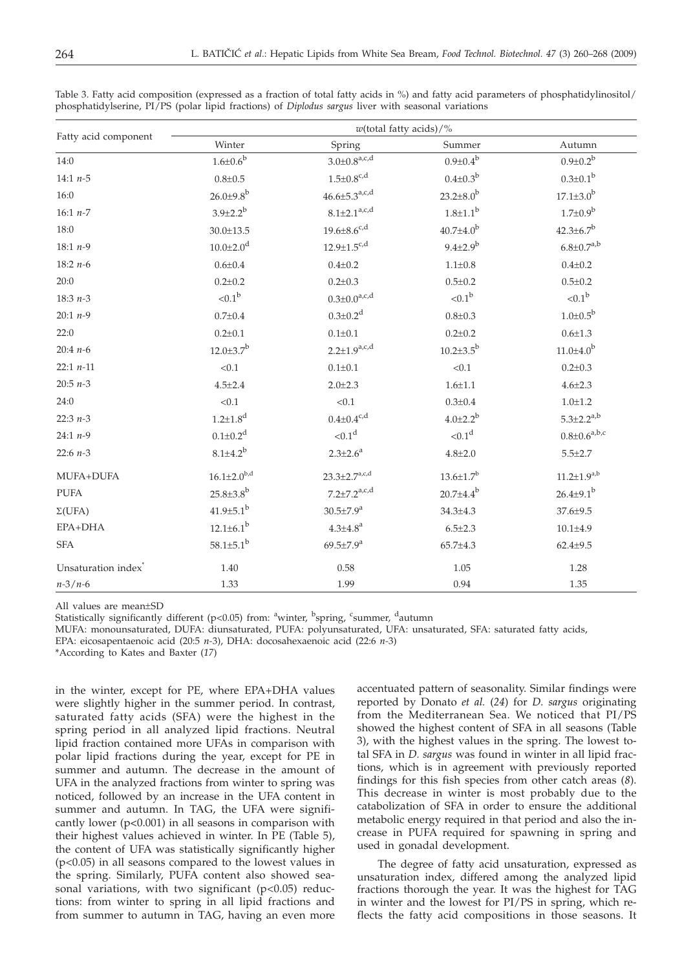|                                 | $w$ (total fatty acids)/%   |                              |                        |                       |
|---------------------------------|-----------------------------|------------------------------|------------------------|-----------------------|
| Fatty acid component            | Winter                      | Spring                       | Summer                 | Autumn                |
| 14:0                            | $1.6\!\!\pm\!\!0.6^{\rm b}$ | $3.0{\pm}0.8^{\text{a,c,d}}$ | $0.9{\pm}0.4^{\rm b}$  | $0.9 \pm 0.2^b$       |
| 14:1 $n-5$                      | $0.8 + 0.5$                 | $1.5 \pm 0.8^{\text{c,d}}$   | $0.4 \pm 0.3^b$        | $0.3 \pm 0.1^b$       |
| 16:0                            | $26.0{\pm}9.8^{b}$          | $46.6 \pm 5.3^{a,c,d}$       | $23.2 \pm 8.0^b$       | $17.1{\pm}3.0^{b}$    |
| 16:1 $n-7$                      | $3.9 \pm 2.2^{b}$           | $8.1 \pm 2.1^{a,c,d}$        | $1.8 \pm 1.1^b$        | $1.7 \pm 0.9^b$       |
| 18:0                            | $30.0 \pm 13.5$             | $19.6 \pm 8.6^{c,d}$         | $40.7{\pm}4.0^{b}$     | $42.3 \pm 6.7^b$      |
| 18:1 $n-9$                      | $10.0{\pm}2.0^d$            | $12.9 \pm 1.5^{c,d}$         | $9.4 \pm 2.9^b$        | $6.8 \pm 0.7^{a,b}$   |
| 18:2 $n-6$                      | $0.6 \pm 0.4$               | $0.4 + 0.2$                  | $1.1 \pm 0.8$          | $0.4 \pm 0.2$         |
| 20:0                            | $0.2 \pm 0.2$               | $0.2 \pm 0.3$                | $0.5 \pm 0.2$          | $0.5 \pm 0.2$         |
| 18:3 $n-3$                      | $< 0.1^b$                   | $0.3 \pm 0.0^{a,c,d}$        | ${<}0.1^{\rm b}$       | ${<}0.1^{\rm b}$      |
| 20:1 $n-9$                      | $0.7 \pm 0.4$               | $0.3 \pm 0.2$ <sup>d</sup>   | $0.8 + 0.3$            | $1.0{\pm}0.5^{b}$     |
| 22:0                            | $0.2 \pm 0.1$               | $0.1 \pm 0.1$                | $0.2 \pm 0.2$          | $0.6 + 1.3$           |
| 20:4 $n-6$                      | $12.0 \pm 3.7$ <sup>b</sup> | $2.2 \pm 1.9^{a,c,d}$        | $10.2 \pm 3.5^{\rm b}$ | $11.0{\pm}4.0^{b}$    |
| $22:1 n-11$                     | < 0.1                       | $0.1 \pm 0.1$                | < 0.1                  | $0.2 \pm 0.3$         |
| 20:5 $n-3$                      | $4.5 \pm 2.4$               | $2.0 \pm 2.3$                | $1.6 + 1.1$            | $4.6 \pm 2.3$         |
| 24:0                            | < 0.1                       | < 0.1                        | $0.3 \pm 0.4$          | $1.0 + 1.2$           |
| 22:3 $n-3$                      | $1.2{\pm}1.8^d$             | $0.4 \pm 0.4$ <sup>c,d</sup> | $4.0{\pm}2.2^{b}$      | $5.3 \pm 2.2^{a,b}$   |
| 24:1 $n-9$                      | $0.1 \pm 0.2^d$             | < 0.1 <sup>d</sup>           | < 0.1 <sup>d</sup>     | $0.8 \pm 0.6^{a,b,c}$ |
| 22:6 $n-3$                      | $8.1 \pm 4.2^{b}$           | $2.3 \pm 2.6^a$              | $4.8 \pm 2.0$          | $5.5 \pm 2.7$         |
| MUFA+DUFA                       | $16.1{\pm}2.0^{b,d}$        | $23.3 \pm 2.7^{a,c,d}$       | $13.6{\pm}1.7^{b}$     | $11.2 \pm 1.9^{a,b}$  |
| <b>PUFA</b>                     | $25.8 \pm 3.8$ <sup>b</sup> | $7.2 \pm 7.2^{a,c,d}$        | $20.7 \pm 4.4^b$       | $26.4{\pm}9.1^{b}$    |
| $\Sigma(UFA)$                   | $41.9{\pm}5.1^{b}$          | $30.5{\pm}7.9^{a}$           | $34.3 \pm 4.3$         | 37.6±9.5              |
| EPA+DHA                         | $12.1 \pm 6.1^b$            | $4.3 \pm 4.8^{\text{a}}$     | $6.5 \pm 2.3$          | $10.1 + 4.9$          |
| <b>SFA</b>                      | $58.1 \pm 5.1^b$            | $69.5{\pm}7.9^{a}$           | $65.7{\pm}4.3$         | $62.4 \pm 9.5$        |
| Unsaturation index <sup>*</sup> | 1.40                        | 0.58                         | 1.05                   | 1.28                  |
| $n - 3/n - 6$                   | 1.33                        | 1.99                         | 0.94                   | 1.35                  |

Table 3. Fatty acid composition (expressed as a fraction of total fatty acids in %) and fatty acid parameters of phosphatidylinositol/ phosphatidylserine, PI/PS (polar lipid fractions) of *Diplodus sargus* liver with seasonal variations

All values are mean±SD

Statistically significantly different (p<0.05) from: <sup>a</sup>winter, <sup>b</sup>spring, <sup>c</sup>summer, <sup>d</sup>autumn

MUFA: monounsaturated, DUFA: diunsaturated, PUFA: polyunsaturated, UFA: unsaturated, SFA: saturated fatty acids,

EPA: eicosapentaenoic acid (20:5 *n-*3), DHA: docosahexaenoic acid (22:6 *n-*3)

\*According to Kates and Baxter (*17*)

in the winter, except for PE, where EPA+DHA values were slightly higher in the summer period. In contrast, saturated fatty acids (SFA) were the highest in the spring period in all analyzed lipid fractions. Neutral lipid fraction contained more UFAs in comparison with polar lipid fractions during the year, except for PE in summer and autumn. The decrease in the amount of UFA in the analyzed fractions from winter to spring was noticed, followed by an increase in the UFA content in summer and autumn. In TAG, the UFA were significantly lower (p*<*0.001) in all seasons in comparison with their highest values achieved in winter. In PE (Table 5), the content of UFA was statistically significantly higher (p<0.05) in all seasons compared to the lowest values in the spring. Similarly, PUFA content also showed seasonal variations, with two significant  $(p<0.05)$  reductions: from winter to spring in all lipid fractions and from summer to autumn in TAG, having an even more

accentuated pattern of seasonality. Similar findings were reported by Donato *et al.* (*24*) for *D. sargus* originating from the Mediterranean Sea. We noticed that PI/PS showed the highest content of SFA in all seasons (Table 3), with the highest values in the spring. The lowest total SFA in *D. sargus* was found in winter in all lipid fractions, which is in agreement with previously reported findings for this fish species from other catch areas (*8*). This decrease in winter is most probably due to the catabolization of SFA in order to ensure the additional metabolic energy required in that period and also the increase in PUFA required for spawning in spring and used in gonadal development.

The degree of fatty acid unsaturation, expressed as unsaturation index, differed among the analyzed lipid fractions thorough the year. It was the highest for TAG in winter and the lowest for PI/PS in spring, which reflects the fatty acid compositions in those seasons. It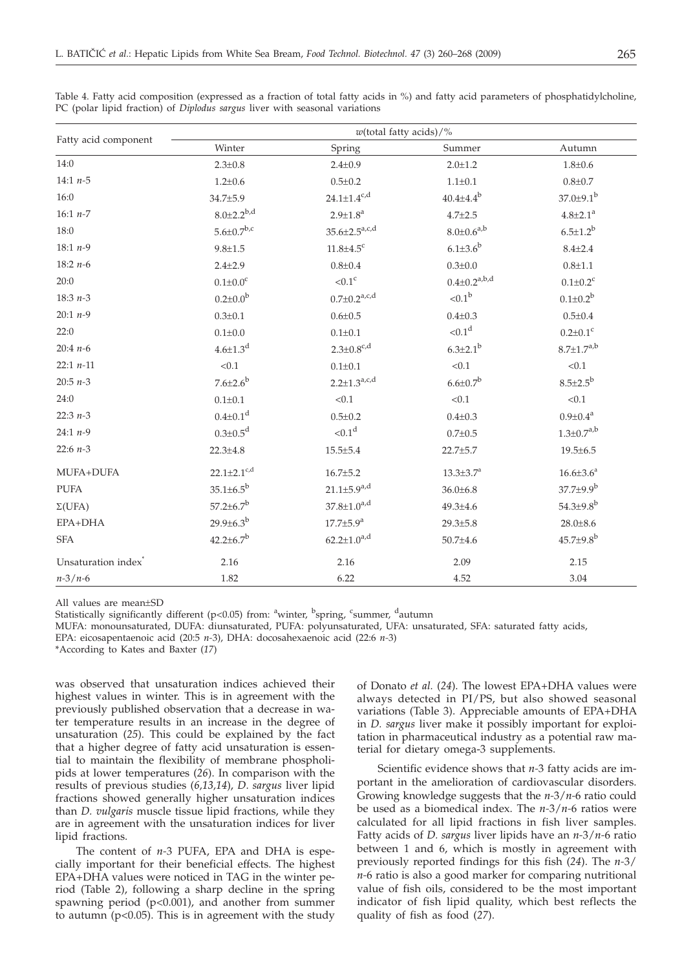|                                 | $w$ (total fatty acids)/%     |                             |                        |                            |
|---------------------------------|-------------------------------|-----------------------------|------------------------|----------------------------|
| Fatty acid component            | Winter                        | Spring                      | Summer                 | Autumn                     |
| 14:0                            | $2.3 \pm 0.8$                 | $2.4 \pm 0.9$               | $2.0 \pm 1.2$          | $1.8 + 0.6$                |
| 14:1 $n-5$                      | $1.2 \pm 0.6$                 | $0.5 \pm 0.2$               | $1.1 \pm 0.1$          | $0.8 + 0.7$                |
| 16:0                            | 34.7±5.9                      | $24.1 \pm 1.4^{c,d}$        | $40.4{\pm}4.4^{b}$     | $37.0 \pm 9.1^b$           |
| 16:1 $n-7$                      | $8.0 \pm 2.2^{b,d}$           | $2.9 \pm 1.8^a$             | $4.7 \pm 2.5$          | $4.8{\pm}2.1^{a}$          |
| 18:0                            | $5.6 \pm 0.7^{b,c}$           | $35.6 \pm 2.5^{a,c,d}$      | $8.0 \pm 0.6^{a,b}$    | $6.5 \pm 1.2^b$            |
| 18:1 $n-9$                      | $9.8 + 1.5$                   | $11.8 \pm 4.5$ <sup>c</sup> | $6.1 \pm 3.6^b$        | $8.4 + 2.4$                |
| 18:2 $n-6$                      | $2.4 + 2.9$                   | $0.8 + 0.4$                 | $0.3 \pm 0.0$          | $0.8 + 1.1$                |
| 20:0                            | $0.1 \pm 0.0^c$               | $< 0.1$ <sup>c</sup>        | $0.4 \pm 0.2^{a,b,d}$  | $0.1 \pm 0.2$ <sup>c</sup> |
| 18:3 $n-3$                      | $0.2 \pm 0.0^{\rm b}$         | $0.7 \pm 0.2^{a,c,d}$       | ${<}0.1^{\rm b}$       | $0.1 \pm 0.2^b$            |
| $20:1 n-9$                      | $0.3 \pm 0.1$                 | $0.6 \pm 0.5$               | $0.4 + 0.3$            | $0.5 \pm 0.4$              |
| 22:0                            | $0.1 \pm 0.0$                 | $0.1 \pm 0.1$               | ${<}0.1d$              | $0.2 \pm 0.1$ <sup>c</sup> |
| $20:4n-6$                       | $4.6{\pm}1.3^{d}$             | $2.3 \pm 0.8^{c,d}$         | $6.3{\pm}2.1^{b}$      | $8.7 \pm 1.7^{a,b}$        |
| $22:1 n-11$                     | < 0.1                         | $0.1 \pm 0.1$               | < 0.1                  | < 0.1                      |
| 20:5 $n-3$                      | $7.6{\pm}2.6^{b}$             | $2.2 \pm 1.3^{a,c,d}$       | $6.6 \pm 0.7^b$        | $8.5 \pm 2.5^b$            |
| 24:0                            | $0.1 + 0.1$                   | < 0.1                       | < 0.1                  | < 0.1                      |
| 22:3 $n-3$                      | $0.4 \pm 0.1$ <sup>d</sup>    | $0.5 \pm 0.2$               | $0.4 \pm 0.3$          | $0.9 \pm 0.4^a$            |
| 24:1 $n-9$                      | $0.3 \pm 0.5$ <sup>d</sup>    | < 0.1 <sup>d</sup>          | $0.7 + 0.5$            | $1.3 \pm 0.7^{a,b}$        |
| 22:6 $n-3$                      | $22.3 \pm 4.8$                | $15.5 \pm 5.4$              | 22.7±5.7               | $19.5 \pm 6.5$             |
| MUFA+DUFA                       | $22.1 \pm 2.1$ <sup>c,d</sup> | $16.7 \pm 5.2$              | $13.3 \pm 3.7^{\rm a}$ | $16.6 \pm 3.6^a$           |
| <b>PUFA</b>                     | $35.1 \pm 6.5^b$              | $21.1 \pm 5.9^{a,d}$        | $36.0 \pm 6.8$         | $37.7 \pm 9.9^b$           |
| $\Sigma(UFA)$                   | $57.2 \pm 6.7^b$              | $37.8 \pm 1.0^{a,d}$        | $49.3 \pm 4.6$         | $54.3{\pm}9.8^{\rm b}$     |
| EPA+DHA                         | $29.9{\pm}6.3^{b}$            | $17.7 \pm 5.9^{\text{a}}$   | $29.3 \pm 5.8$         | $28.0 \pm 8.6$             |
| <b>SFA</b>                      | $42.2 \pm 6.7^b$              | $62.2{\pm}1.0^{a,d}$        | $50.7 \pm 4.6$         | $45.7{\pm}9.8^{b}$         |
| Unsaturation index <sup>®</sup> | 2.16                          | 2.16                        | 2.09                   | 2.15                       |
| $n - 3/n - 6$                   | 1.82                          | 6.22                        | 4.52                   | 3.04                       |

Table 4. Fatty acid composition (expressed as a fraction of total fatty acids in %) and fatty acid parameters of phosphatidylcholine, PC (polar lipid fraction) of *Diplodus sargus* liver with seasonal variations

All values are mean±SD

Statistically significantly different (p<0.05) from: <sup>a</sup>winter, <sup>b</sup>spring, <sup>c</sup>summer, <sup>d</sup>autumn

MUFA: monounsaturated, DUFA: diunsaturated, PUFA: polyunsaturated, UFA: unsaturated, SFA: saturated fatty acids,

EPA: eicosapentaenoic acid (20:5 *n-*3), DHA: docosahexaenoic acid (22:6 *n-*3)

\*According to Kates and Baxter (*17*)

was observed that unsaturation indices achieved their highest values in winter. This is in agreement with the previously published observation that a decrease in water temperature results in an increase in the degree of unsaturation (*25*). This could be explained by the fact that a higher degree of fatty acid unsaturation is essential to maintain the flexibility of membrane phospholipids at lower temperatures (*26*). In comparison with the results of previous studies (*6,13,14*), *D*. *sargus* liver lipid fractions showed generally higher unsaturation indices than *D. vulgaris* muscle tissue lipid fractions, while they are in agreement with the unsaturation indices for liver lipid fractions.

The content of *n-*3 PUFA, EPA and DHA is especially important for their beneficial effects. The highest EPA+DHA values were noticed in TAG in the winter period (Table 2), following a sharp decline in the spring spawning period (p<0.001), and another from summer to autumn  $(p<0.05)$ . This is in agreement with the study of Donato *et al.* (*24*). The lowest EPA+DHA values were always detected in PI/PS, but also showed seasonal variations (Table 3). Appreciable amounts of EPA+DHA in *D. sargus* liver make it possibly important for exploitation in pharmaceutical industry as a potential raw material for dietary omega-3 supplements.

Scientific evidence shows that *n-*3 fatty acids are important in the amelioration of cardiovascular disorders. Growing knowledge suggests that the *n-*3/*n-*6 ratio could be used as a biomedical index. The *n-*3/*n-*6 ratios were calculated for all lipid fractions in fish liver samples. Fatty acids of *D. sargus* liver lipids have an *n-*3/*n-*6 ratio between 1 and 6, which is mostly in agreement with previously reported findings for this fish (*24*). The *n-*3/ *n-*6 ratio is also a good marker for comparing nutritional value of fish oils, considered to be the most important indicator of fish lipid quality, which best reflects the quality of fish as food (*27*).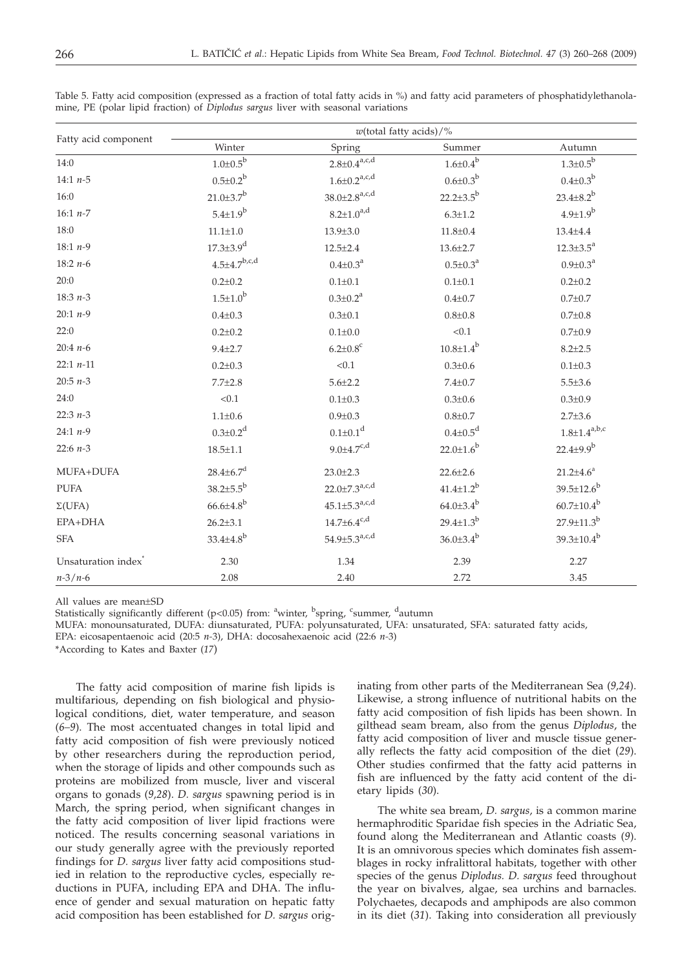| Fatty acid component            | $w$ (total fatty acids)/%   |                                 |                            |                       |
|---------------------------------|-----------------------------|---------------------------------|----------------------------|-----------------------|
|                                 | Winter                      | Spring                          | Summer                     | Autumn                |
| 14:0                            | $1.0{\pm}0.5^{\rm b}$       | $2.8{\pm}0.4^{\text{a,c,d}}$    | $1.6 \pm 0.4^b$            | $1.3 \pm 0.5^{\rm b}$ |
| 14:1 $n-5$                      | $0.5 \pm 0.2^{\rm b}$       | $1.6 \pm 0.2^{a,c,d}$           | $0.6 \pm 0.3^b$            | $0.4 \pm 0.3^b$       |
| 16:0                            | $21.0 \pm 3.7$ <sup>b</sup> | $38.0 \pm 2.8$ <sup>a,c,d</sup> | $22.2 \pm 3.5^b$           | $23.4{\pm}8.2^b$      |
| 16:1 $n-7$                      | $5.4 \pm 1.9^b$             | $8.2{\pm}1.0^{a,d}$             | $6.3 \pm 1.2$              | $4.9 \pm 1.9^{b}$     |
| 18:0                            | $11.1 \pm 1.0$              | $13.9 \pm 3.0$                  | $11.8 \pm 0.4$             | $13.4 + 4.4$          |
| 18:1 $n-9$                      | $17.3 \pm 3.9$ <sup>d</sup> | $12.5 \pm 2.4$                  | $13.6 \pm 2.7$             | $12.3 \pm 3.5^a$      |
| 18:2 $n-6$                      | $4.5 \pm 4.7^{b,c,d}$       | $0.4 \pm 0.3^{\text{a}}$        | $0.5 \pm 0.3^a$            | $0.9 \pm 0.3^a$       |
| 20:0                            | $0.2 \pm 0.2$               | $0.1 \pm 0.1$                   | $0.1 \pm 0.1$              | $0.2 \pm 0.2$         |
| 18:3 $n-3$                      | $1.5 \pm 1.0^{b}$           | $0.3 \pm 0.2^a$                 | $0.4 + 0.7$                | $0.7 + 0.7$           |
| $20:1 n-9$                      | $0.4 \pm 0.3$               | $0.3 \pm 0.1$                   | $0.8 + 0.8$                | $0.7 + 0.8$           |
| 22:0                            | $0.2 \pm 0.2$               | $0.1 \pm 0.0$                   | < 0.1                      | $0.7 + 0.9$           |
| 20:4 $n-6$                      | $9.4{\pm}2.7$               | $6.2{\pm}0.8^c$                 | $10.8 \pm 1.4^{\rm b}$     | $8.2 + 2.5$           |
| 22:1 $n-11$                     | $0.2 \pm 0.3$               | < 0.1                           | $0.3 \pm 0.6$              | $0.1 \pm 0.3$         |
| 20:5 $n-3$                      | $7.7 \pm 2.8$               | $5.6 \pm 2.2$                   | $7.4 \pm 0.7$              | $5.5 \pm 3.6$         |
| 24:0                            | < 0.1                       | $0.1 \pm 0.3$                   | $0.3 \pm 0.6$              | $0.3 \pm 0.9$         |
| 22:3 $n-3$                      | $1.1 \pm 0.6$               | $0.9 + 0.3$                     | $0.8 + 0.7$                | $2.7 \pm 3.6$         |
| 24:1 $n-9$                      | $0.3 \pm 0.2$ <sup>d</sup>  | $0.1 \pm 0.1$ <sup>d</sup>      | $0.4 \pm 0.5$ <sup>d</sup> | $1.8 \pm 1.4^{a,b,c}$ |
| 22:6 $n-3$                      | $18.5 \pm 1.1$              | $9.0 \pm 4.7^{c,d}$             | $22.0 \pm 1.6^b$           | $22.4 \pm 9.9^{b}$    |
| MUFA+DUFA                       | $28.4 \pm 6.7$ <sup>d</sup> | $23.0 \pm 2.3$                  | $22.6 \pm 2.6$             | $21.2 \pm 4.6^a$      |
| <b>PUFA</b>                     | $38.2{\pm}5.5^{b}$          | $22.0 \pm 7.3^{a,c,d}$          | $41.4{\pm}1.2^{b}$         | $39.5 \pm 12.6^b$     |
| $\Sigma(UFA)$                   | $66.6{\pm}4.8^{b}$          | $45.1 \pm 5.3^{a,c,d}$          | $64.0{\pm}3.4^{b}$         | $60.7 \pm 10.4^b$     |
| EPA+DHA                         | $26.2 \pm 3.1$              | $14.7 \pm 6.4^{\rm c,d}$        | $29.4 \pm 1.3^{b}$         | $27.9 \pm 11.3^b$     |
| <b>SFA</b>                      | $33.4 \pm 4.8$ <sup>b</sup> | $54.9 \pm 5.3^{a,c,d}$          | $36.0{\pm}3.4^{b}$         | $39.3 \pm 10.4^b$     |
| Unsaturation index <sup>*</sup> | 2.30                        | 1.34                            | 2.39                       | 2.27                  |
| $n - 3/n - 6$                   | 2.08                        | 2.40                            | 2.72                       | 3.45                  |

Table 5. Fatty acid composition (expressed as a fraction of total fatty acids in %) and fatty acid parameters of phosphatidylethanolamine, PE (polar lipid fraction) of *Diplodus sargus* liver with seasonal variations

All values are mean±SD

Statistically significantly different (p<0.05) from: <sup>a</sup>winter, <sup>b</sup>spring, <sup>c</sup>summer, <sup>d</sup>autumn

MUFA: monounsaturated, DUFA: diunsaturated, PUFA: polyunsaturated, UFA: unsaturated, SFA: saturated fatty acids,

EPA: eicosapentaenoic acid (20:5 *n-*3), DHA: docosahexaenoic acid (22:6 *n-*3)

\*According to Kates and Baxter (*17*)

The fatty acid composition of marine fish lipids is multifarious, depending on fish biological and physiological conditions, diet, water temperature, and season (*6–9*). The most accentuated changes in total lipid and fatty acid composition of fish were previously noticed by other researchers during the reproduction period, when the storage of lipids and other compounds such as proteins are mobilized from muscle, liver and visceral organs to gonads (*9,28*). *D. sargus* spawning period is in March, the spring period, when significant changes in the fatty acid composition of liver lipid fractions were noticed. The results concerning seasonal variations in our study generally agree with the previously reported findings for *D. sargus* liver fatty acid compositions studied in relation to the reproductive cycles, especially reductions in PUFA, including EPA and DHA. The influence of gender and sexual maturation on hepatic fatty acid composition has been established for *D. sargus* originating from other parts of the Mediterranean Sea (*9,24*). Likewise, a strong influence of nutritional habits on the fatty acid composition of fish lipids has been shown. In gilthead seam bream, also from the genus *Diplodus*, the fatty acid composition of liver and muscle tissue generally reflects the fatty acid composition of the diet (*29*). Other studies confirmed that the fatty acid patterns in fish are influenced by the fatty acid content of the dietary lipids (*30*).

The white sea bream, *D. sargus,* is a common marine hermaphroditic Sparidae fish species in the Adriatic Sea, found along the Mediterranean and Atlantic coasts (*9*). It is an omnivorous species which dominates fish assemblages in rocky infralittoral habitats, together with other species of the genus *Diplodus. D. sargus* feed throughout the year on bivalves, algae, sea urchins and barnacles. Polychaetes, decapods and amphipods are also common in its diet (*31*). Taking into consideration all previously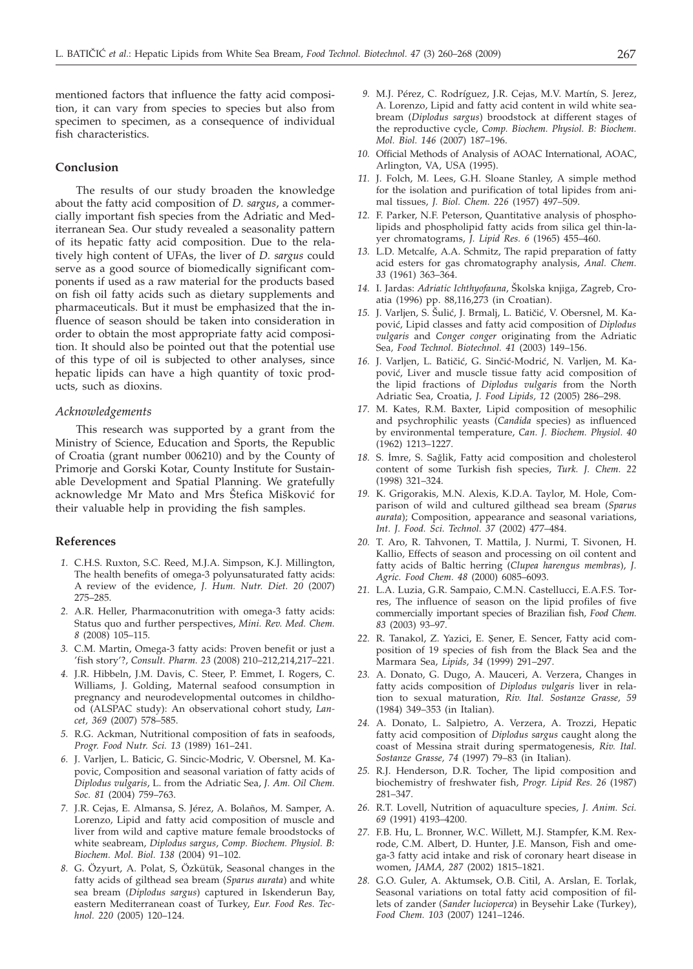mentioned factors that influence the fatty acid composition, it can vary from species to species but also from specimen to specimen, as a consequence of individual fish characteristics.

## **Conclusion**

The results of our study broaden the knowledge about the fatty acid composition of *D. sargus*, a commercially important fish species from the Adriatic and Mediterranean Sea. Our study revealed a seasonality pattern of its hepatic fatty acid composition. Due to the relatively high content of UFAs, the liver of *D. sargus* could serve as a good source of biomedically significant components if used as a raw material for the products based on fish oil fatty acids such as dietary supplements and pharmaceuticals. But it must be emphasized that the influence of season should be taken into consideration in order to obtain the most appropriate fatty acid composition. It should also be pointed out that the potential use of this type of oil is subjected to other analyses, since hepatic lipids can have a high quantity of toxic products, such as dioxins.

#### *Acknowledgements*

This research was supported by a grant from the Ministry of Science, Education and Sports, the Republic of Croatia (grant number 006210) and by the County of Primorje and Gorski Kotar, County Institute for Sustainable Development and Spatial Planning. We gratefully acknowledge Mr Mato and Mrs Štefica Mišković for their valuable help in providing the fish samples.

#### **References**

- *1.* C.H.S. Ruxton, S.C. Reed, M.J.A. Simpson, K.J. Millington, The health benefits of omega-3 polyunsaturated fatty acids: A review of the evidence, *J. Hum. Nutr. Diet. 20* (2007) 275–285.
- *2.* A.R. Heller, Pharmaconutrition with omega-3 fatty acids: Status quo and further perspectives, *Mini. Rev. Med. Chem. 8* (2008) 105–115.
- *3.* C.M. Martin, Omega-3 fatty acids: Proven benefit or just a 'fish story'?, *Consult. Pharm. 23* (2008) 210–212,214,217–221.
- *4.* J.R. Hibbeln, J.M. Davis, C. Steer, P. Emmet, I. Rogers, C. Williams, J. Golding, Maternal seafood consumption in pregnancy and neurodevelopmental outcomes in childhood (ALSPAC study): An observational cohort study, *Lancet, 369* (2007) 578–585.
- *5.* R.G. Ackman, Nutritional composition of fats in seafoods, *Progr. Food Nutr. Sci. 13* (1989) 161–241.
- *6.* J. Varljen, L. Baticic, G. Sincic-Modric, V. Obersnel, M. Kapovic, Composition and seasonal variation of fatty acids of *Diplodus vulgaris*, L. from the Adriatic Sea, *J. Am. Oil Chem. Soc. 81* (2004) 759–763.
- *7.* J.R. Cejas, E. Almansa, S. Jérez, A. Bolaños, M. Samper, A. Lorenzo, Lipid and fatty acid composition of muscle and liver from wild and captive mature female broodstocks of white seabream, *Diplodus sargus*, *Comp. Biochem. Physiol. B: Biochem. Mol. Biol. 138* (2004) 91–102.
- *8.* G. Özyurt, A. Polat, S, Özkütük, Seasonal changes in the fatty acids of gilthead sea bream (*Sparus aurata*) and white sea bream (*Diplodus sargus*) captured in Iskenderun Bay, eastern Mediterranean coast of Turkey, *Eur. Food Res. Technol. 220* (2005) 120–124.
- *9.* M.J. Pérez, C. Rodríguez, J.R. Cejas, M.V. Martín, S. Jerez, A. Lorenzo, Lipid and fatty acid content in wild white seabream (*Diplodus sargus*) broodstock at different stages of the reproductive cycle, *Comp. Biochem. Physiol. B: Biochem. Mol. Biol. 146* (2007) 187–196.
- *10.* Official Methods of Analysis of AOAC International, AOAC, Arlington, VA, USA (1995).
- *11.* J. Folch, M. Lees, G.H. Sloane Stanley, A simple method for the isolation and purification of total lipides from animal tissues, *J. Biol. Chem. 226* (1957) 497–509.
- *12.* F. Parker, N.F. Peterson, Quantitative analysis of phospholipids and phospholipid fatty acids from silica gel thin-layer chromatograms, *J. Lipid Res. 6* (1965) 455–460.
- *13.* L.D. Metcalfe, A.A. Schmitz, The rapid preparation of fatty acid esters for gas chromatography analysis, *Anal. Chem. 33* (1961) 363–364.
- 14. I. Jardas: Adriatic Ichthyofauna, Školska knjiga, Zagreb, Croatia (1996) pp. 88,116,273 (in Croatian).
- 15. J. Varljen, S. Šulić, J. Brmalj, L. Batičić, V. Obersnel, M. Kapović, Lipid classes and fatty acid composition of *Diplodus vulgaris* and *Conger conger* originating from the Adriatic Sea*, Food Technol. Biotechnol. 41* (2003) 149–156.
- 16. J. Varljen, L. Batičić, G. Sinčić-Modrić, N. Varljen, M. Kapović, Liver and muscle tissue fatty acid composition of the lipid fractions of *Diplodus vulgaris* from the North Adriatic Sea, Croatia, *J. Food Lipids, 12* (2005) 286–298.
- *17.* M. Kates, R.M. Baxter, Lipid composition of mesophilic and psychrophilic yeasts (*Candida* species) as influenced by environmental temperature, *Can. J. Biochem. Physiol. 40* (1962) 1213–1227.
- 18. S. İmre, S. Sağlik, Fatty acid composition and cholesterol content of some Turkish fish species, *Turk. J. Chem. 22* (1998) 321–324.
- *19.* K. Grigorakis, M.N. Alexis, K.D.A. Taylor, M. Hole, Comparison of wild and cultured gilthead sea bream (*Sparus aurata*); Composition, appearance and seasonal variations, *Int. J. Food. Sci. Technol. 37* (2002) 477–484.
- *20.* T. Aro, R. Tahvonen, T. Mattila, J. Nurmi, T. Sivonen, H. Kallio, Effects of season and processing on oil content and fatty acids of Baltic herring (*Clupea harengus membras*), *J. Agric. Food Chem. 48* (2000) 6085–6093.
- *21.* L.A. Luzia, G.R. Sampaio, C.M.N. Castellucci, E.A.F.S. Torres, The influence of season on the lipid profiles of five commercially important species of Brazilian fish, *Food Chem. 83* (2003) 93–97.
- 22. R. Tanakol, Z. Yazici, E. Şener, E. Sencer, Fatty acid composition of 19 species of fish from the Black Sea and the Marmara Sea, *Lipids, 34* (1999) 291–297.
- *23.* A. Donato, G. Dugo, A. Mauceri, A. Verzera, Changes in fatty acids composition of *Diplodus vulgaris* liver in relation to sexual maturation, *Riv. Ital. Sostanze Grasse, 59* (1984) 349–353 (in Italian).
- *24.* A. Donato, L. Salpietro, A. Verzera, A. Trozzi, Hepatic fatty acid composition of *Diplodus sargus* caught along the coast of Messina strait during spermatogenesis, *Riv. Ital. Sostanze Grasse, 74* (1997) 79–83 (in Italian).
- *25.* R.J. Henderson, D.R. Tocher, The lipid composition and biochemistry of freshwater fish, *Progr. Lipid Res. 26* (1987) 281–347.
- *26.* R.T. Lovell, Nutrition of aquaculture species, *J. Anim. Sci. 69* (1991) 4193–4200.
- *27.* F.B. Hu, L. Bronner, W.C. Willett, M.J. Stampfer, K.M. Rexrode, C.M. Albert, D. Hunter, J.E. Manson, Fish and omega-3 fatty acid intake and risk of coronary heart disease in women, *JAMA, 287* (2002) 1815–1821.
- *28.* G.O. Guler, A. Aktumsek, O.B. Citil, A. Arslan, E. Torlak, Seasonal variations on total fatty acid composition of fillets of zander (*Sander lucioperca*) in Beysehir Lake (Turkey), *Food Chem. 103* (2007) 1241–1246.